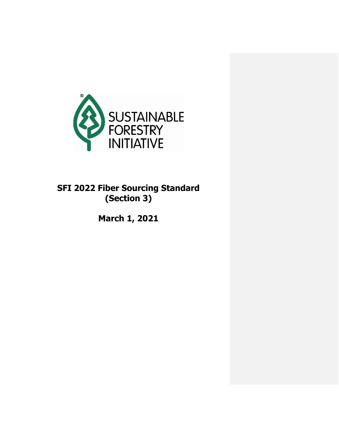

# **SFI 2022 Fiber Sourcing Standard (Section 3)**

**March 1, 2021**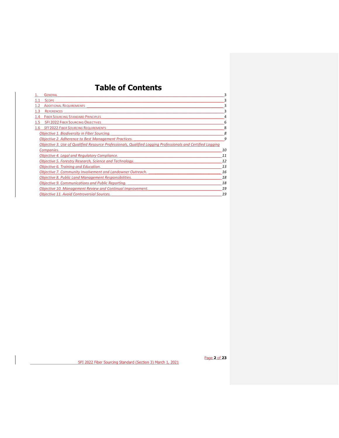## **Table of Contents**

|     | <b>GENERAL</b>                                                                                              | 3  |
|-----|-------------------------------------------------------------------------------------------------------------|----|
|     | <b>SCOPE</b>                                                                                                | 3  |
|     | <b>ADDITIONAL REQUIREMENTS</b>                                                                              | 3  |
| 1.3 | <b>REFERENCES</b>                                                                                           | 3  |
|     | <b>FIBER SOURCING STANDARD PRINCIPLES</b>                                                                   |    |
|     | <b>SFI 2022 FIBER SOURCING OBJECTIVES</b>                                                                   | 6  |
| 1.6 | <b>SFI 2022 FIBER SOURCING REQUIREMENTS</b>                                                                 | 8  |
|     | Objective 1. Biodiversity in Fiber Sourcing.                                                                |    |
|     | <b>Objective 2. Adherence to Best Management Practices.</b>                                                 | 9  |
|     | Objective 3. Use of Qualified Resource Professionals, Qualified Logging Professionals and Certified Logging |    |
|     | Companies.                                                                                                  | 10 |
|     | Objective 4. Legal and Regulatory Compliance.                                                               | 11 |
|     | Objective 5. Forestry Research, Science and Technology.                                                     | 12 |
|     | Objective 6. Training and Education.                                                                        | 13 |
|     | Objective 7. Community Involvement and Landowner Outreach.                                                  | 16 |
|     | <b>Objective 8. Public Land Management Responsibilities.</b>                                                | 18 |
|     | <b>Objective 9. Communications and Public Reporting.</b>                                                    | 18 |
|     | Objective 10. Management Review and Continual Improvement.                                                  | 19 |
|     | <b>Objective 11. Avoid Controversial Sources.</b>                                                           | 19 |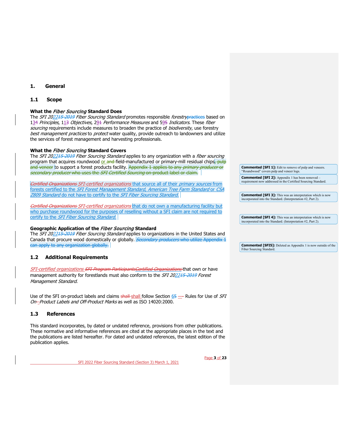## <span id="page-2-0"></span>**1. General**

#### <span id="page-2-1"></span>**1.1 Scope**

#### **What the** Fiber Sourcing **Standard Does**

The SFI 2022<del>15-2019</del> Fiber Sourcing Standard promotes responsible forestrypractices based on 134 Principles, 113 Objectives, 291 Performance Measures and 595 Indicators. These fiber sourcing requirements include measures to broaden the practice of biodiversity, use forestry best management practices to protect water quality, provide outreach to landowners and utilize the services of forest management and harvesting professionals.

#### **What the** Fiber Sourcing **Standard Covers**

The SFI 202215-2019 Fiber Sourcing Standard applies to any organization with a fiber sourcing program that acquires roundwood or and field-manufactured or primary-mill residual chips, pulp and veneer to support a forest products facility. Appendix 1 applies to any *primary producer* or secondary producer who uses the SFI Certified Sourcing on-product label or claim.

Certified Organizations SFI-certified organizations that source all of their primary sources from forests certified to the SFI Forest Management Standard, American Tree Farm Standard or CSA Z809 Standard do not have to certify to the SFI Fiber Sourcing Standard.

Certified Organizations SFI-certified organizations that do not own a manufacturing facility but who purchase roundwood for the purposes of reselling without a SFI claim are not required to certify to the *SFI Fiber Sourcing Standard.* 

#### **Geographic Application of the** Fiber Sourcing **Standard**

The SFI 202215-2019 Fiber Sourcing Standard applies to organizations in the United States and Canada that procure wood domestically or globally. Secondary producers who utilize Appendix 1 can apply to any organization globally.

### <span id="page-2-2"></span>**1.2 Additional Requirements**

SFI-certified organizations SFI Program ParticipantsCertified Organizations</u> that own or have management authority for forestlands must also conform to the SFI 202215-2019 Forest Management Standard.

Use of the SFI on-product labels and claims shall shall follow Section 65 — Rules for Use of SFI On--Product Labels and Off-Product Marks as well as ISO 14020:2000.

#### <span id="page-2-3"></span>**1.3 References**

This standard incorporates, by dated or undated reference, provisions from other publications. These normative and informative references are cited at the appropriate places in the text and the publications are listed hereafter. For dated and undated references, the latest edition of the publication applies.

SFI 2022 Fiber Sourcing Standard (Section 3) March 1, 2021

Page **3** of **23**

**Commented [SFI 1]:** Edit to remove of pulp and veneers. "Roundwood" covers pulp and veneer logs.

**Commented [SFI 2]:** Appendix 1 has been removed – requirement now addressed in the Certified Sourcing Standard.

**Commented [SFI 3]:** This was an interpretation which is now incorporated into the Standard. (Interpretation #2, Part 2).

**Commented [SFI 4]:** This was an interpretation which is now incorporated into the Standard. (Interpretation #2, Part 2).

**Commented [SFI5]:** Deleted as Appendix 1 is now outside of the Fiber Sourcing Standard.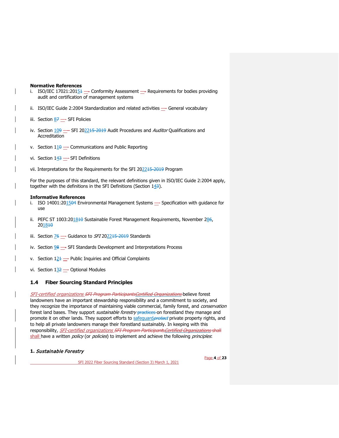#### **Normative References**

- i. ISO/IEC 17021:201 $54$  Conformity Assessment Requirements for bodies providing audit and certification of management systems
- ii. ISO/IEC Guide 2:2004 Standardization and related activities General vocabulary
- iii. Section  $87 -$ SFI Policies
- iv. Section  $109$   $-$  SFI 202215-2019 Audit Procedures and Auditor Qualifications and Accreditation
- v. Section  $110$  Communications and Public Reporting
- vi. Section  $143$  SFI Definitions
- vii. Interpretations for the Requirements for the SFI 202245-2019 Program

For the purposes of this standard, the relevant definitions given in ISO/IEC Guide 2:2004 apply, together with the definitions in the SFI Definitions (Section  $143$ ).

#### **Informative References**

- i. ISO 14001:201504 Environmental Management Systems Specification with guidance for use
- ii. PEFC ST 1003:201840 Sustainable Forest Management Requirements, November  $286$ , 201810
- iii. Section  $\frac{76}{2}$  Guidance to *SFI* 202215-2019 Standards
- iv. Section 98 SFI Standards Development and Interpretations Process
- v. Section  $12 + \frac{1}{2}$  Public Inquiries and Official Complaints
- vi. Section  $1\frac{32}{2}$  Optional Modules

## <span id="page-3-0"></span>**1.4 Fiber Sourcing Standard Principles**

SFI-certified organizations SFI Program ParticipantsCertified Organizations believe forest landowners have an important stewardship responsibility and a commitment to society, and they recognize the importance of maintaining viable commercial, family forest, and *conservation* forest land bases. They support *sustainable forestry* practices on forestland they manage and promote it on other lands. They support efforts to safeguard *protect* private property rights, and to help all private landowners manage their forestland sustainably. In keeping with this responsibility, SFI-certified organizations SFI Program Participants Certified Organizations shall shall have a written *policy* (or *policies*) to implement and achieve the following *principles*:

#### **1.** Sustainable Forestry

SFI 2022 Fiber Sourcing Standard (Section 3) March 1, 2021

Page **4** of **23**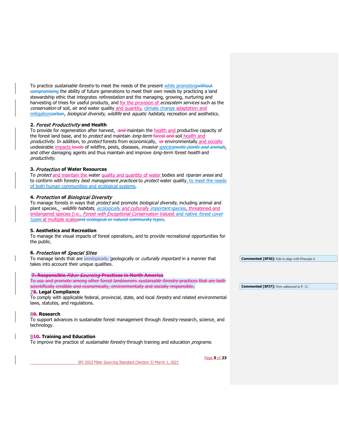To practice *sustainable forestry* to meet the needs of the present while promoting<del>without</del> compromising the ability of future generations to meet their own needs by practicing a land stewardship ethic that integrates reforestation and the managing, growing, nurturing and harvesting of trees for useful products, and for the provision of ecosystem services such as the conservation of soil, air and water quality and quantity, climate change adaptation and mitigationearbon, biological diversity, wildlife and aquatic habitats, recreation and aesthetics.

## **2.** Forest Productivity **and Health**

To provide for regeneration after harvest,  $-$ and maintain the health and productive capacity of the forest land base, and to *protect* and maintain long-term forest and soil health and productivity. In addition, to protect forests from economically, -or-environmentally and socially undesirable impacts levels of wildfire, pests, diseases, *invasive speciesexotic plants and animals*, and other damaging agents and thus maintain and improve long-term forest health and productivity.

#### **3.** Protection **of Water Resources**

To *protect* and maintain the water quality and quantity of water bodies and *riparian areas* and to conform with forestry *best management practices* to *protect* water quality, to meet the needs of both human communities and ecological systems.

#### **4.** Protection **of** Biological Diversity

To manage forests in ways that *protect* and promote *biological diversity*, including animal and plant species, -wildlife habitats, ecologically and culturally important species, threatened and endangered species (i.e., Forest with Exceptional Conservation Values) and native forest cover types at multiple scalesand ecological or natural community types.

#### **5. Aesthetics and Recreation**

To manage the visual impacts of forest operations, and to provide recreational opportunities for the public.

#### **6.** Protection **of** Special Sites

To manage lands that are *ecologically*, geologically or *culturally important* in a manner that takes into account their unique qualities.

#### **7. Responsible** Fiber Sourcing **Practices in North America**

To use and promote among other forest landowners *sustainable forestry* practices that are both scientifically credible and economically, environmentally and socially responsible.

## **78. Legal Compliance**

To comply with applicable federal, provincial, state, and local forestry and related environmental laws, statutes, and regulations.

#### **89. Research**

To support advances in sustainable forest management through *forestry* research, science, and technology.

#### **910. Training and Education**

To improve the practice of *sustainable forestry* through training and education *programs*.

SFI 2022 Fiber Sourcing Standard (Section 3) March 1, 2021

**Commented [SFI6]:** Edit to align with Principle 4.

**Commented [SFI7]:** Now addressed in P. 12.

Page **5** of **23**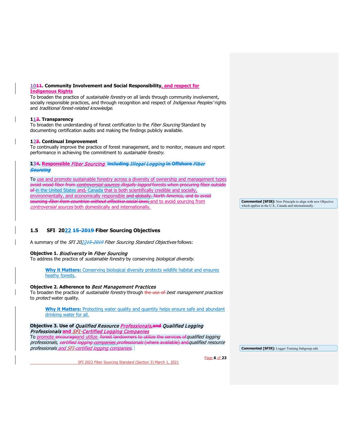#### **1011. Community Involvement and Social Responsibility, and respect for Indigenous Rights**

To broaden the practice of *sustainable forestry* on all lands through community involvement, socially responsible practices, and through recognition and respect of *Indigenous Peoples'* rights and *traditional forest-related knowledge*.

### **112. Transparency**

To broaden the understanding of forest certification to the Fiber Sourcing Standard by documenting certification audits and making the findings publicly available.

#### **123. Continual Improvement**

To continually improve the practice of forest management, and to monitor, measure and report performance in achieving the commitment to *sustainable forestry*.

### **134. Responsible** Fiber Sourcing **including** Illegal Logging **in Offshore** Fiber Sourcing

To use and promote sustainable forestry across a diversity of ownership and management types avoid wood fiber from *controversial sources illegally logged* forests when procuring fiber outside of in the United States and, Canada that is both scientifically credible and socially, environmentally, and economically responsible and globally. North America, and to avoid s<del>ourcing *fiber from countries without effective social laws*, and to avoid sourcing from</del> controversial sources both domestically and internationally.

## <span id="page-5-0"></span>**1.5 SFI 2022 15-2019 Fiber Sourcing Objectives**

A summary of the *SFI 2022<del>15-2019</del> Fiber Sourcing Standard Objectives* follows:

## **Objective 1.** Biodiversity **in** Fiber Sourcing

To address the practice of *sustainable forestry* by conserving *biological diversity*.

**Why it Matters:** Conserving biological diversity protects wildlife habitat and ensures heathy forests.

#### **[Objective 2. Adherence to](#page-9-1)** Best Management Practices

To broaden the practice of *sustainable forestry* through the use of best management practices to *protect* water quality.

**Why it Matters:** Protecting water quality and quantity helps ensure safe and abundant drinking water for all.

#### **Objective 3. Use of** [Qualified Resource Professionals](#page-9-0)**,and** Qualified Logging [Professionals](#page-9-0) **and** SFI-Certified Logging Companies

To promote encourageand utilize forest landowners to utilize the services of qualified logging professionals, certified logging companies professionals (where available) and qualified resource professionals and SFI-certified logging companies.

SFI 2022 Fiber Sourcing Standard (Section 3) March 1, 2021

**Commented [SFI9]:** Logger Training Subgroup edit.

Page **6** of **23**

**Commented [SFI8]:** New Principle to align with new Objective which applies in the U.S., Canada and internationally.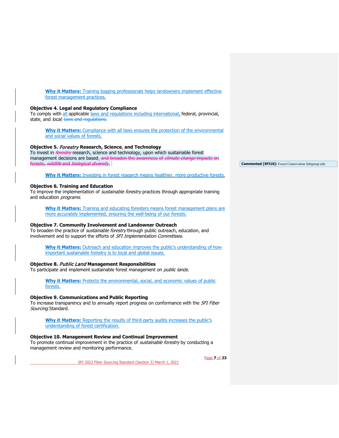**Why it Matters:** Training logging professionals helps landowners implement effective forest management practices.

#### **[Objective 4. Legal and Regulatory Compliance](#page-10-1)**

To comply with all applicable laws and regulations including international, federal, provincial, state, and local. laws and regulations.

**Why it Matters:** Compliance with all laws ensures the protection of the environmental and social values of forests.

#### **Objective 5.** Forestry **[Research, Science,](#page-11-0) and Technology**

To invest in *forestry* research, science and technology, upon which sustainable forest management decisions are based<sub>-</sub> and broaden the awareness of *climate change* impacts on forests, wildlife and biological diversity.

**Why it Matters:** Investing in forest research means healthier, more productive forests.

#### **[Objective 6. Training and Education](#page-12-0)**

To improve the implementation of *sustainable forestry* practices through appropriate training and education programs.

**Why it Matters:** Training and educating foresters means forest management plans are more accurately implemented, ensuring the well-being of our forests.

#### **[Objective 7. Community Involvement and Landowner Outreach](#page-15-0)**

To broaden the practice of *sustainable forestry* through public outreach, education, and involvement and to support the efforts of SFI Implementation Committees.

**Why it Matters:** Outreach and education improves the public's understanding of how important sustainable forestry is to local and global issues.

#### **Objective 8.** Public Land **[Management Responsibilities](#page-17-0)**

To participate and implement sustainable forest management on *public lands.* 

**Why it Matters:** Protects the environmental, social, and economic values of public forests.

### **[Objective 9. Communications and Public Reporting](#page-17-1)**

To increase transparency and to annually report progress on conformance with the *SFI Fiber* Sourcing Standard.

**Why it Matters:** Reporting the results of third-party audits increases the public's understanding of forest certification.

SFI 2022 Fiber Sourcing Standard (Section 3) March 1, 2021

#### **[Objective 10. Management Review and Continual Improvement](#page-18-0)**

To promote continual improvement in the practice of *sustainable forestry* by conducting a management review and monitoring performance.

Page **7** of **23**

**Commented [SFI10]:** Forest Conservation Subgroup edit.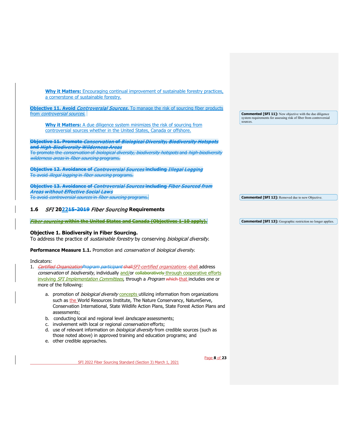| <b>Why it Matters:</b> Encouraging continual improvement of sustainable forestry practices,                           |                                                                    |
|-----------------------------------------------------------------------------------------------------------------------|--------------------------------------------------------------------|
| a cornerstone of sustainable forestry.                                                                                |                                                                    |
|                                                                                                                       |                                                                    |
| <b>Objective 11. Avoid Controversial Sources.</b> To manage the risk of sourcing fiber products                       |                                                                    |
| from <i>controversial sources</i> .                                                                                   | <b>Commented [SFI 11]:</b> New objective with the due diligence    |
|                                                                                                                       | system requirements for assessing risk of fiber from controversial |
| <b>Why it Matters:</b> A due diligence system minimizes the risk of sourcing from                                     | sources.                                                           |
| controversial sources whether in the United States, Canada or offshore.                                               |                                                                    |
|                                                                                                                       |                                                                    |
|                                                                                                                       |                                                                    |
| Objective 11. Promote Conservation of Biological Diversity, Biodiversity Hotspots                                     |                                                                    |
| <del>and <i>High-Biodiversity Wilderness Areas</i></del>                                                              |                                                                    |
| To promote the <i>conservation</i> of <i>biological diversity, biodiversity hotspots</i> and <i>high-biodiversity</i> |                                                                    |
| wilderness areas in fiber sourcing programs.                                                                          |                                                                    |
|                                                                                                                       |                                                                    |
| Objective 12. Avoidance of <i>Controversial Sources</i> including <i>Illegal Logging</i>                              |                                                                    |
| To avoid <i>illegal logging</i> in <i>fiber sourcing</i> programs.                                                    |                                                                    |
|                                                                                                                       |                                                                    |
| Objective 13. Avoidance of <i>Controversial Sources</i> including <i>Fiber Sourced from</i>                           |                                                                    |
|                                                                                                                       |                                                                    |
| Areas without Effective Social Laws                                                                                   |                                                                    |
| To avoid <i>controversial sources</i> in <i>fiber sourcing</i> programs.                                              | <b>Commented [SFI 12]:</b> Removed due to new Objective.           |
|                                                                                                                       |                                                                    |

## <span id="page-7-0"></span>**1.6** SFI **202215-2019** Fiber Sourcing **Requirements**

Fiber sourcing **within the United States and Canada (Objectives 1-10 apply).**

#### <span id="page-7-1"></span>**Objective 1. Biodiversity in Fiber Sourcing.**

To address the practice of *sustainable forestry* by conserving *biological diversity*.

Performance Measure 1.1. Promotion and *conservation* of *biological diversity*.

## Indicators:

- 1. Certified OrganizationProgram participant shall SFI-certified organizations-shall address conservation of biodiversity, individually and/or collaboratively through cooperative efforts involving SFI Implementation Committees, through a Program which-that includes one or more of the following:
	- a. promotion of *biological diversity* concepts utilizing information from organizations such as the World Resources Institute, The Nature Conservancy, NatureServe, Conservation International, State Wildlife Action Plans, State Forest Action Plans and assessments;
	- b. conducting local and regional level *landscape* assessments;
	- c. involvement with local or regional *conservation* efforts;
	- d. use of relevant information on *biological diversity* from credible sources (such as those noted above) in approved training and education programs; and
	- e. other credible approaches.

Page **8** of **23**

**Commented [SFI 13]:** Geographic restriction no longer applies.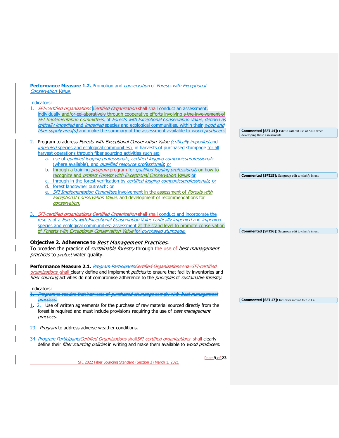## **Performance Measure 1.2.** Promotion and *conservation* of *Forests with Exceptional* **Conservation Value.**

## Indicators:

| 11 IUICULUI 3.                                                                                    |                                                                                               |
|---------------------------------------------------------------------------------------------------|-----------------------------------------------------------------------------------------------|
| SFI-certified organizations Certified Organization shall shall conduct an assessment,             |                                                                                               |
| individually and/or-collaboratively through cooperative efforts involving s the involvement of    |                                                                                               |
| SFI Implementation Committees, of Forests with Exceptional Conservation Value, defined as         |                                                                                               |
| critically imperiled and imperiled species and ecological communities, within their wood and      |                                                                                               |
| fiber supply area(s) and make the summary of the assessment available to wood producers.          | <b>Commented [SFI 14]:</b> Edit to call out use of SICs when<br>developing these assessments. |
| 2. Program to address Forests with Exceptional Conservation Value (critically imperiled and       |                                                                                               |
| imperiled species and ecological communities) -in-harvests of purchased stumpage for all          |                                                                                               |
| harvest operations through fiber sourcing activities such as:                                     |                                                                                               |
| a. use of qualified logging professionals, certified logging companiesprofessionals               |                                                                                               |
| (where available), and qualified resource professionals, or                                       |                                                                                               |
| b. through a training <i>program</i> program for <i>qualified logging professionals</i> on how to |                                                                                               |
| recognize and protect Forests with Exceptional Conservation Value, or                             | <b>Commented [SFI15]:</b> Subgroup edit to clarify intent.                                    |
| c. through in-the-forest verification by certified logging companiesprofessionals; or             |                                                                                               |
| forest landowner outreach; or                                                                     |                                                                                               |
| e. SFI Implementation Committee involvement in the assessment of Forests with                     |                                                                                               |
| <b>Exceptional Conservation Value, and development of recommendations for</b>                     |                                                                                               |
| conservation.                                                                                     |                                                                                               |
|                                                                                                   |                                                                                               |
| 3. SFI-certified organizations Certified Organization shall-shall conduct and incorporate the     |                                                                                               |
| results of a Forests with Exceptional Conservation Value (critically imperiled and imperiled      |                                                                                               |
| species and ecological communities) assessment at the stand level to promote conservation         |                                                                                               |
| of Forests with Exceptional Conservation Value for purchased stumpage.                            | <b>Commented [SFI16]:</b> Subgroup edit to clarify intent.                                    |
|                                                                                                   |                                                                                               |
| Objective 2. Adherence to Best Management Practices.                                              |                                                                                               |
| To broaden the practice of <i>sustainable forestry</i> through the use of best management         |                                                                                               |
| practices to protect water quality.                                                               |                                                                                               |
|                                                                                                   |                                                                                               |
| <b>Performance Measure 2.1.</b> Program ParticipantsCertified Organizations shall SFI-certified   |                                                                                               |
| organizations-shall clearly define and implement policies to ensure that facility inventories and |                                                                                               |
| fiber sourcing activities do not compromise adherence to the principles of sustainable forestry.  |                                                                                               |
|                                                                                                   |                                                                                               |
| Indicators:                                                                                       |                                                                                               |
| Program to require that harvests of purchased stumpage comply with best management                |                                                                                               |
| practices.                                                                                        | <b>Commented [SFI 17]:</b> Indicator moved to 2.2.1.a                                         |
| 1. 2. Use of written agreements for the purchase of raw material sourced directly from the        |                                                                                               |
| forest is required and must include provisions requiring the use of <i>best management</i>        |                                                                                               |
| practices.                                                                                        |                                                                                               |
|                                                                                                   |                                                                                               |
| 23. Program to address adverse weather conditions.                                                |                                                                                               |
|                                                                                                   |                                                                                               |
| 34. Program ParticipantsCertified Organizations shall SFI-certified organizations -shall clearly  |                                                                                               |
| define their fiber sourcing policies in writing and make them available to wood producers.        |                                                                                               |
|                                                                                                   |                                                                                               |
| Page 9 of 23                                                                                      |                                                                                               |

<span id="page-8-0"></span>SFI 2022 Fiber Sourcing Standard (Section 3) March 1, 2021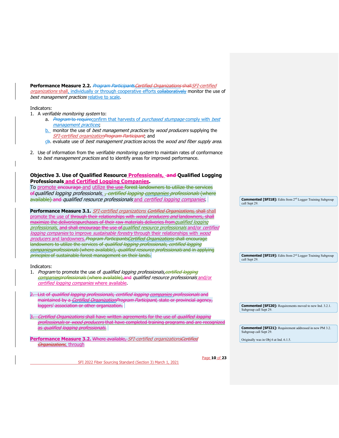**Performance Measure 2.2.** Program Participants Certified Organizations shall SFI-certified organizations shall, individually or through cooperative efforts collaboratively monitor the use of best management practices relative to scale.

#### Indicators:

- 1. A verifiable monitoring system to:
	- a. Program to requireconfirm that harvests of purchased stumpage comply with best management practices;
	- **b.** monitor the use of *best management practices* by *wood producers* supplying the SFI-certified organizationProgram Participant; and
	- ch. evaluate use of *best management practices* across the *wood and fiber supply area*.
- 2. Use of information from the verifiable monitoring system to maintain rates of conformance to best management practices and to identify areas for improved performance.

<span id="page-9-1"></span><span id="page-9-0"></span>

| Objective 3. Use of Qualified Resource Professionals, and Qualified Logging                                                                                                  |                                                                                                |
|------------------------------------------------------------------------------------------------------------------------------------------------------------------------------|------------------------------------------------------------------------------------------------|
| <b>Professionals and Certified Logging Companies</b>                                                                                                                         |                                                                                                |
| To promote encourage and utilize the use forest landowners to utilize the services                                                                                           |                                                                                                |
| ef qualified logging professionals <sub>er</sub> certified logging companies professionals (where                                                                            |                                                                                                |
| available) and qualified resource professionals and certified logging companies.                                                                                             | <b>Commented [SFI18]:</b> Edits from 2 <sup>nd</sup> Logger Training Subgroup<br>call Sept 29. |
| <b>Performance Measure 3.1.</b> SFI-certified organizations Certified Organizations, shall shall                                                                             |                                                                                                |
| promote the use of through their relationships with <i>wood producers and</i> landowners, shall                                                                              |                                                                                                |
| maximize the deliveriespurchases of their raw materials deliveries from <i>qualified logging</i>                                                                             |                                                                                                |
| professionals, and shall encourage the use of qualified resource professionals and/or certified                                                                              |                                                                                                |
| logging companies to improve <i>sustainable forestry</i> through their relationships with <i>wood</i>                                                                        |                                                                                                |
| producers and landowners. Program Participants Certified Organizations shall encourage                                                                                       |                                                                                                |
| landowners to utilize the services of <i>qualified logging professionals, certified logging</i>                                                                              |                                                                                                |
| companicsprofessionals (where available), qualified resource professionals and in applying                                                                                   |                                                                                                |
| principles of sustainable forest management on their lands.                                                                                                                  | <b>Commented [SFI19]:</b> Edits from 2 <sup>nd</sup> Logger Training Subgroup<br>call Sept 29. |
|                                                                                                                                                                              |                                                                                                |
| Indicators:                                                                                                                                                                  |                                                                                                |
| 1. Program to promote the use of qualified logging professionals, certified logging<br>companiesprofessionals (where available), and qualified resource professionals and/or |                                                                                                |
|                                                                                                                                                                              |                                                                                                |
| certified logging companies where available.                                                                                                                                 |                                                                                                |
|                                                                                                                                                                              |                                                                                                |
| List of qualified logging professionals, certified logging companies professionals and                                                                                       |                                                                                                |
| maintained by a <i>Certified OrganizationProgram Participant</i> , state or provincial agency,                                                                               |                                                                                                |
| loggers' association or other organization.                                                                                                                                  | <b>Commented [SFI20]:</b> Requirements moved to new Ind. 3.2.1.<br>Subgroup call Sept 29.      |
| <i>Organizations</i> shall have written agreements for the use of <i>qualified logging</i>                                                                                   |                                                                                                |
| <i>sionals</i> or <i>wood producers</i> that have completed training programs and are                                                                                        |                                                                                                |
| is <i>qualified logging professionals.</i>                                                                                                                                   | <b>Commented [SFI21]:</b> Requirement addressed in new PM 3.2.                                 |
|                                                                                                                                                                              | Subgroup call Sept 29.                                                                         |
| Performance Measure 3.2. Where available, SFI-certified organizationsCertified                                                                                               | Originally was in Obj 6 at Ind. 6.1.5.                                                         |
| <b>Organizations</b> , through                                                                                                                                               |                                                                                                |
|                                                                                                                                                                              |                                                                                                |
|                                                                                                                                                                              |                                                                                                |
| Page 10 of 23                                                                                                                                                                |                                                                                                |
| SFI 2022 Fiber Sourcing Standard (Section 3) March 1, 2021                                                                                                                   |                                                                                                |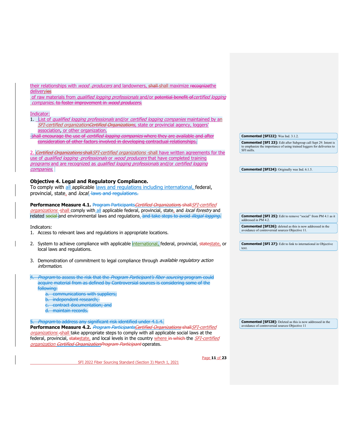<span id="page-10-1"></span><span id="page-10-0"></span>

| their relationships with <i>wood-producers</i> and landowners, shall-shall maximize recognizethe<br>deliveryies<br>of raw materials from qualified logging professionals and/or potential benefit of certified logging<br>companies. to foster improvement in wood producers.                                                                                               |                                                                                                                                                                |
|-----------------------------------------------------------------------------------------------------------------------------------------------------------------------------------------------------------------------------------------------------------------------------------------------------------------------------------------------------------------------------|----------------------------------------------------------------------------------------------------------------------------------------------------------------|
| Indicator:<br>1. List of qualified logging professionals and/or certified logging companies maintained by an<br>SFI-certified organization Certified Organizations, state or provincial agency, loggers'<br>association, or other organization.                                                                                                                             |                                                                                                                                                                |
| shall encourage the use of certified logging companies where they are available and after                                                                                                                                                                                                                                                                                   | Commented [SFI22]: Was Ind. 3.1.2.                                                                                                                             |
| consideration of other factors involved in developing contractual relationships.<br>2. Certified Organizations shall SFI-certified organizations -shall have written agreements for the<br>use of qualified logging-professionals or wood producers that have completed training<br>programs and are recognized as qualified logging professionals and/or certified logging | <b>Commented [SFI 23]:</b> Edit after Subgroup call Sept 29. Intent is<br>to emphasize the importance of using trained loggers for deliveries to<br>SFI mills. |
| <i>companies.</i>                                                                                                                                                                                                                                                                                                                                                           | <b>Commented [SFI24]:</b> Originally was Ind. 6.1.5.                                                                                                           |
| <b>Objective 4. Legal and Regulatory Compliance.</b><br>To comply with all applicable laws and regulations including international, federal,<br>provincial, state, and local. laws and regulations.                                                                                                                                                                         |                                                                                                                                                                |
| Performance Measure 4.1. Program Participants Certified Organizations shall SFI-certified<br>organizations-shall comply with all applicable federal, provincial, state, and local forestry and<br>related social and environmental laws and regulations. and take steps to avoid illegal logging.                                                                           | <b>Commented [SFI 25]:</b> Edit to remove "social" from PM 4.1 as it<br>addressed in PM 4.2.                                                                   |
| Indicators:                                                                                                                                                                                                                                                                                                                                                                 | <b>Commented [SFI26]:</b> deleted as this is now addressed in the                                                                                              |
| 1. Access to relevant laws and regulations in appropriate locations.                                                                                                                                                                                                                                                                                                        | avoidance of controversial sources Objective 11.                                                                                                               |
| 2. System to achieve compliance with applicable international, federal, provincial, statestate, or<br>local laws and regulations.                                                                                                                                                                                                                                           | <b>Commented [SFI 27]:</b> Edit to link to international in Objective<br>text.                                                                                 |
| 3. Demonstration of commitment to legal compliance through <i>available regulatory action</i><br>information.                                                                                                                                                                                                                                                               |                                                                                                                                                                |
| <i>Program</i> to assess the risk that the <i>Program Participant's fiber sourcing</i> program could<br>acquire material from as defined by Controversial sources is considering some of the<br>following:<br>a. communications with suppliers;<br>b. independent research;<br>c. contract documentation; and<br>d. maintain records.                                       |                                                                                                                                                                |
| 5. Program to address any significant risk identified under 4.1.4.<br>Performance Measure 4.2. Program ParticipantsCertified Organizations shall SFI-certified<br>organizations-shall take appropriate steps to comply with all applicable social laws at the<br>federal, provincial, statestate, and local levels in the country where in which the SFI-certified          | <b>Commented [SFI28]:</b> Deleted as this is now addressed in the<br>avoidance of controversial sources Objective 11                                           |
| <i>organization <del>Certified OrganizationProgram Participant</del></i> operates.<br>$D = 2$ and $D = 2$                                                                                                                                                                                                                                                                   |                                                                                                                                                                |

SFI 2022 Fiber Sourcing Standard (Section 3) March 1, 2021

Page **11** of **23**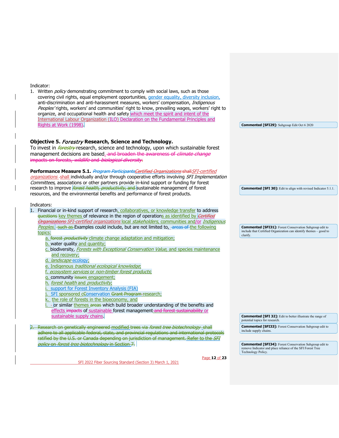<span id="page-11-0"></span>

| Indicator:<br>1. Written <i>policy</i> demonstrating commitment to comply with social laws, such as those<br>covering civil rights, equal employment opportunities, gender equality, diversity inclusion,<br>anti-discrimination and anti-harassment measures, workers' compensation, Indigenous<br>Peoples'rights, workers' and communities' right to know, prevailing wages, workers' right to<br>organize, and occupational health and safety which meet the spirit and intent of the<br>International Labour Organization (ILO) Declaration on the Fundamental Principles and<br>Rights at Work (1998). | <b>Commented [SFI29]:</b> Subgroup Edit Oct 6 2020                                                                                              |
|-------------------------------------------------------------------------------------------------------------------------------------------------------------------------------------------------------------------------------------------------------------------------------------------------------------------------------------------------------------------------------------------------------------------------------------------------------------------------------------------------------------------------------------------------------------------------------------------------------------|-------------------------------------------------------------------------------------------------------------------------------------------------|
| Objective 5. Forestry Research, Science and Technology.                                                                                                                                                                                                                                                                                                                                                                                                                                                                                                                                                     |                                                                                                                                                 |
| To invest in <i>forestry</i> -research, science and technology, upon which sustainable forest<br>management decisions are based. and broaden the awareness of climate change                                                                                                                                                                                                                                                                                                                                                                                                                                |                                                                                                                                                 |
| impacts on forests, wildlife and biological diversity.                                                                                                                                                                                                                                                                                                                                                                                                                                                                                                                                                      |                                                                                                                                                 |
| Performance Measure 5.1. Program ParticipantsCertified Organizations shall SFI-certified<br>organizations-shall individually and/or through cooperative efforts involving SFI Implementation<br>Committees, associations or other partners provide in-kind support or funding for forest<br>research to improve <i>forest health, productivity</i> , and sustainable management of forest<br>resources, and the environmental benefits and performance of forest products.                                                                                                                                  | <b>Commented [SFI 30]:</b> Edit to align with revised Indicator 5.1.1.                                                                          |
| Indicators:                                                                                                                                                                                                                                                                                                                                                                                                                                                                                                                                                                                                 |                                                                                                                                                 |
| 1. Financial or in-kind support of research, collaboratives, or knowledge transfer to address<br>questions key themes of relevance in the region of operations as identified by <i>Certified</i><br>Organizations SFI-certified organizations local stakeholders, communities and/or Indigenous                                                                                                                                                                                                                                                                                                             |                                                                                                                                                 |
| Peoples. <del>such as E</del> xamples could include, but are not limited to, areas of the following<br>topics:                                                                                                                                                                                                                                                                                                                                                                                                                                                                                              | <b>Commented [SFI31]:</b> Forest Conservation Subgroup edit to<br>include that Certified Organization can identify themes - good to<br>clarify. |
| a. forest <i>productivity</i> climate change adaptation and mitigation;<br>b. water quality and quantity;                                                                                                                                                                                                                                                                                                                                                                                                                                                                                                   |                                                                                                                                                 |
| c. biodiversity, Forests with Exceptional Conservation Value, and species maintenance                                                                                                                                                                                                                                                                                                                                                                                                                                                                                                                       |                                                                                                                                                 |
| and recovery;<br>d. landscape ecology;                                                                                                                                                                                                                                                                                                                                                                                                                                                                                                                                                                      |                                                                                                                                                 |
| e. Indigenous traditional ecological knowledge,<br>ecosystem services or non-timber forest products,                                                                                                                                                                                                                                                                                                                                                                                                                                                                                                        |                                                                                                                                                 |
| g. community issues engagement;                                                                                                                                                                                                                                                                                                                                                                                                                                                                                                                                                                             |                                                                                                                                                 |
| h. forest health and productivity,<br>support for Forest Inventory Analysis (FIA)                                                                                                                                                                                                                                                                                                                                                                                                                                                                                                                           |                                                                                                                                                 |
| SFI sponsored cConservation Grant Program-research;                                                                                                                                                                                                                                                                                                                                                                                                                                                                                                                                                         |                                                                                                                                                 |
| k. the role of forests in the bioeconomy, and<br>- or similar themes areas which build broader understanding of the benefits and                                                                                                                                                                                                                                                                                                                                                                                                                                                                            |                                                                                                                                                 |
| effects impacts of sustainable forest management and forest sustainability or<br>sustainable supply chains                                                                                                                                                                                                                                                                                                                                                                                                                                                                                                  | <b>Commented [SFI 32]:</b> Edit to better illustrate the range of                                                                               |
|                                                                                                                                                                                                                                                                                                                                                                                                                                                                                                                                                                                                             | potential topics for research.                                                                                                                  |
| 2. Research on genetically engineered modified trees via forest tree biotechnology shall<br>adhere to all applicable federal, state, and provincial regulations and international protocols                                                                                                                                                                                                                                                                                                                                                                                                                 | <b>Commented [SFI33]:</b> Forest Conservation Subgroup edit to<br>include supply chains.                                                        |
| ratified by the U.S. or Canada depending on jurisdiction of management. Refer to the SFI<br>policy on forest tree biotechnology in Section 7.                                                                                                                                                                                                                                                                                                                                                                                                                                                               | <b>Commented [SFI34]:</b> Forest Conservation Subgroup edit to                                                                                  |
|                                                                                                                                                                                                                                                                                                                                                                                                                                                                                                                                                                                                             | remove Indicator and place reliance of the SFI Forest Tree<br>Technology Policy.                                                                |
| Page 12 of 23<br>SFI 2022 Fiber Sourcing Standard (Section 3) March 1, 2021                                                                                                                                                                                                                                                                                                                                                                                                                                                                                                                                 |                                                                                                                                                 |
|                                                                                                                                                                                                                                                                                                                                                                                                                                                                                                                                                                                                             |                                                                                                                                                 |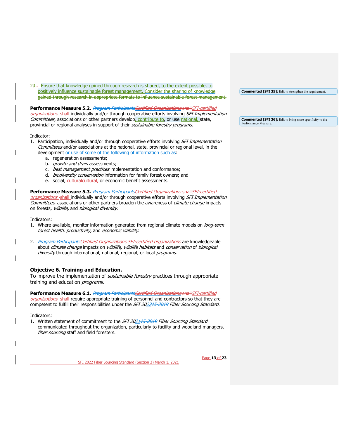23. Ensure that knowledge gained through research is shared, to the extent possible, to positively influence sustainable forest management. Consider the sharing of knowledge gained through research in appropriate formats to influence sustainable forest management.

## **Performance Measure 5.2.** Program ParticipantsCertified Organizations shallSFI-certified

organizations-shall individually and/or through cooperative efforts involving SFI Implementation Committees, associations or other partners develop, contribute to, or use national, state, provincial or regional analyses in support of their sustainable forestry programs.

#### Indicator:

- 1. Participation, individually and/or through cooperative efforts involving SFI Implementation Committees and/or associations at the national, state, provincial or regional level, in the development or use of some of the following of information such as:
	- a. regeneration assessments;
	- b. *growth and drain* assessments;
	- c. *best management practices* implementation and conformance;
	- d. *biodiversity conservation* information for family forest owners; and
	- e. social, culturalcultural, or economic benefit assessments.

## Performance Measure 5.3. *Program ParticipantsCertified Organizations* shall SFI-certified

organizations-shall individually and/or through cooperative efforts involving SFI Implementation Committees, associations or other partners broaden the awareness of climate change impacts on forests, wildlife, and biological diversity.

Indicators:

- 1. Where available, monitor information generated from regional climate models on long-term forest health, productivity, and economic viability.
- 2. Program ParticipantsCertified Organizations SFI-certified organizations are knowledgeable about climate change impacts on wildlife, wildlife habitats and conservation of biological diversity through international, national, regional, or local programs.

## <span id="page-12-0"></span>**Objective 6. Training and Education.**

To improve the implementation of *sustainable forestry* practices through appropriate training and education *programs*.

#### **Performance Measure 6.1.** *Program ParticipantsCertified Organizations shall SFI-certified*

organizations-shall require appropriate training of personnel and contractors so that they are competent to fulfill their responsibilities under the SFI 202215-2019 Fiber Sourcing Standard.

#### Indicators:

1. Written statement of commitment to the SFI 202145-2019 Fiber Sourcing Standard communicated throughout the organization, particularly to facility and woodland managers, fiber sourcing staff and field foresters.

SFI 2022 Fiber Sourcing Standard (Section 3) March 1, 2021

**Commented [SFI 35]:** Edit to strengthen the requirement.

**Commented [SFI 36]:** Edit to bring more specificity to the Performance Measure.

Page **13** of **23**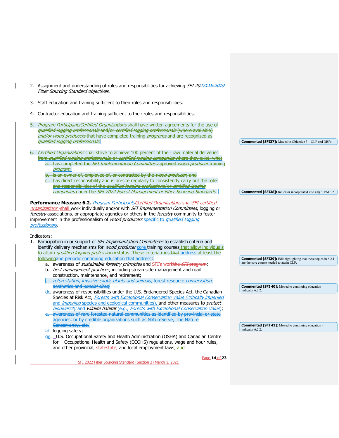| 2. Assignment and understanding of roles and responsibilities for achieving SFI 2022115-2019<br>Fiber Sourcing Standard objectives.                                                                                                                                                                                                                                                                                                                                                                                                                                                                                                                                                                                              |                                                                                                                     |
|----------------------------------------------------------------------------------------------------------------------------------------------------------------------------------------------------------------------------------------------------------------------------------------------------------------------------------------------------------------------------------------------------------------------------------------------------------------------------------------------------------------------------------------------------------------------------------------------------------------------------------------------------------------------------------------------------------------------------------|---------------------------------------------------------------------------------------------------------------------|
| 3. Staff education and training sufficient to their roles and responsibilities.                                                                                                                                                                                                                                                                                                                                                                                                                                                                                                                                                                                                                                                  |                                                                                                                     |
| Contractor education and training sufficient to their roles and responsibilities.<br>4.                                                                                                                                                                                                                                                                                                                                                                                                                                                                                                                                                                                                                                          |                                                                                                                     |
| 5. Program ParticipantsCertified Organizations shall have written agreements for the use of<br>qualified logging professionals and/or certified logging professionals (where available)<br>and/or wood producers that have completed training programs and are recognized as<br>qualified logging professionals.                                                                                                                                                                                                                                                                                                                                                                                                                 | <b>Commented [SFI37]:</b> Moved to Objective 3 – QLP and QRPs.                                                      |
| Certified Organizations shall strive to achieve 100 percent of their raw material deliveries<br>from qualified logging professionals, or certified logging companies where they exist, who:<br>a. has completed the SFI Implementation Committee approved wood producer training<br>program;<br>is an owner of, employee of, or contracted by the wood producer, and<br>c. has direct responsibility and is on site reqularly to consistently carry out the roles<br>and responsibilities of the <i>qualified logging professional</i> or <i>certified logging</i>                                                                                                                                                               |                                                                                                                     |
| companies under the SFI 2022 Forest Management or Fiber Sourcing Standards.                                                                                                                                                                                                                                                                                                                                                                                                                                                                                                                                                                                                                                                      | <b>Commented [SFI38]:</b> Indicator incorporated into Obj 3, PM 3.2.                                                |
| Performance Measure 6.2. Program ParticipantsCertified Organizations shall SFI-certified<br>organizations-shall work individually and/or with SFI Implementation Committees, logging or<br>forestry associations, or appropriate agencies or others in the <i>forestry</i> community to foster<br>improvement in the professionalism of wood producers specific to qualified logging<br>professionals.<br>Indicators:<br>1. Participation in or support of <i>SFI Implementation Committees</i> to establish criteria and<br>identify delivery mechanisms for <i>wood producer</i> core training courses that allow individuals<br>to attain qualified logging professional status. These criteria mustthat address at least the |                                                                                                                     |
| followingand periodic continuing education that address.<br>a. awareness of <i>sustainable forestry principles</i> and <b>SFI's workthe SFI program</b> ;                                                                                                                                                                                                                                                                                                                                                                                                                                                                                                                                                                        | <b>Commented [SFI39]:</b> Edit highlighting that these topics in 6.2.1<br>are the core course needed to attain QLP. |
| b. <i>best management practices</i> , including streamside management and road<br>construction, maintenance, and retirement;<br>e. reforestation, invasive exotic plants and animals, forest resource conservation,                                                                                                                                                                                                                                                                                                                                                                                                                                                                                                              |                                                                                                                     |
| aesthetics and special sites,                                                                                                                                                                                                                                                                                                                                                                                                                                                                                                                                                                                                                                                                                                    | <b>Commented [SFI 40]:</b> Moved to continuing education -                                                          |
| dc. awareness of responsibilities under the U.S. Endangered Species Act, the Canadian<br>Species at Risk Act, Forests with Exceptional Conservation Value (critically imperiled<br>and <i>imperiled</i> species and ecological communities), and other measures to <i>protect</i><br>biodiversity and wildlife habitat (e.g., Forests with Exceptional Conservation Value);<br>awareness of rare forested natural communities as identified by provincial or state<br>e.<br>agencies, or by credible organizations such as NatureServe, The Nature                                                                                                                                                                               | indicator 6.2.2.                                                                                                    |
| Conservancy, etc.                                                                                                                                                                                                                                                                                                                                                                                                                                                                                                                                                                                                                                                                                                                | <b>Commented [SFI 41]:</b> Moved to continuing education -<br>indicator 6.2.2.                                      |
| fd. logging safety;<br>ge. _U.S. Occupational Safety and Health Administration (OSHA) and Canadian Centre<br>for _Occupational Health and Safety (CCOHS) regulations, wage and hour rules,<br>and other provincial, statestate, and local employment laws, and                                                                                                                                                                                                                                                                                                                                                                                                                                                                   |                                                                                                                     |
| Page 14 of 23<br>SFI 2022 Fiber Sourcing Standard (Section 3) March 1, 2021                                                                                                                                                                                                                                                                                                                                                                                                                                                                                                                                                                                                                                                      |                                                                                                                     |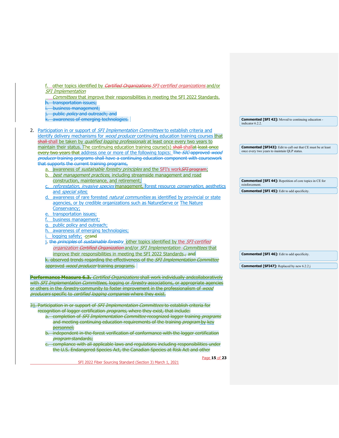| other topics identified by Certified Organizations SFI-certified organizations and/or<br><b>SFI</b> Implementation<br>Committees that improve their responsibilities in meeting the SFI 2022 Standards.<br>transportation issues;<br>business management;<br>public policy and outreach; and<br>awareness of emerging technologies.<br><b>Commented [SFI 42]:</b> Moved to continuing education -<br>indicator 6.2.2.<br>2. Participation in or support of <i>SFI Implementation Committees</i> to establish criteria and<br>identify delivery mechanisms for <i>wood producer</i> continuing education training courses that<br>shall-shall be taken by qualified logging professionals at least once every two years to<br>maintain their status. The continuing education training course(s) shall-shallat least once<br><b>Commented [SFI43]:</b> Edit to call out that CE must be at least<br>once every two years to maintain QLP status.<br>every two years that address one or more of the following topics: The SIC approved wood<br>producer training programs shall have a continuing education component with coursework<br>that supports the current training programs,<br>awareness of <i>sustainable forestry principles</i> and the SFI's work <del>SFI program</del> ;<br>best management practices, including streamside management and road<br>b.<br>construction, maintenance, and retirement;<br><b>Commented [SFI 44]:</b> Repetition of core topics in CE for<br>reinforcement.<br>c. reforestation, invasive species management, forest resource conservation, aesthetics<br><b>Commented [SFI 45]:</b> Edit to add specificity.<br>and <i>special sites</i> .<br>d. awareness of rare forested <i>natural communities</i> as identified by provincial or state<br>agencies, or by credible organizations such as NatureServe or The Nature<br>Conservancy;<br>e. transportation issues:<br>business management:<br>public policy and outreach;<br>awareness of emerging technologies;<br>logging safety; -orand<br>j. the principles of sustainable forestry other topics identified by the SFI-certified<br>organization Certified Organization and/or SFI Implementation - Committees that<br>improve their responsibilities in meeting the SFI 2022 Standards, and<br><b>Commented [SFI 46]:</b> Edit to add specificity.<br>k. observed trends regarding the effectiveness of the SFI Implementation Committee<br>approved wood producer training programs.<br><b>Commented [SFI47]:</b> Replaced by new 6.2.2 j<br>Performance Measure 6.3. Certified Organizations shall work individually andcollaboratively<br>with SFI Implementation Committees, logging or forestry associations, or appropriate agencies<br>or others in the <i>forestry</i> community to foster improvement in the professionalism of <i>wood</i><br>producers specific to certified logging companies where they exist.<br>31. Participation in or support of SFI Implementation Committees to establish criteria for<br>recognition of logger certification <i>programs</i> , where they exist, that include:<br>a. completion of SFI Implementation Committee recognized logger training programs<br>and meeting continuing education requirements of the training program by key<br>personnel;<br>b. independent in-the-forest verification of conformance with the logger certification<br><i>program</i> standards;<br>c. compliance with all applicable laws and regulations including responsibilities under<br>the U.S. Endangered Species Act, the Canadian Species at Risk Act and other<br>Page 15 of 23<br>SFI 2022 Fiber Sourcing Standard (Section 3) March 1, 2021 |  |  |
|------------------------------------------------------------------------------------------------------------------------------------------------------------------------------------------------------------------------------------------------------------------------------------------------------------------------------------------------------------------------------------------------------------------------------------------------------------------------------------------------------------------------------------------------------------------------------------------------------------------------------------------------------------------------------------------------------------------------------------------------------------------------------------------------------------------------------------------------------------------------------------------------------------------------------------------------------------------------------------------------------------------------------------------------------------------------------------------------------------------------------------------------------------------------------------------------------------------------------------------------------------------------------------------------------------------------------------------------------------------------------------------------------------------------------------------------------------------------------------------------------------------------------------------------------------------------------------------------------------------------------------------------------------------------------------------------------------------------------------------------------------------------------------------------------------------------------------------------------------------------------------------------------------------------------------------------------------------------------------------------------------------------------------------------------------------------------------------------------------------------------------------------------------------------------------------------------------------------------------------------------------------------------------------------------------------------------------------------------------------------------------------------------------------------------------------------------------------------------------------------------------------------------------------------------------------------------------------------------------------------------------------------------------------------------------------------------------------------------------------------------------------------------------------------------------------------------------------------------------------------------------------------------------------------------------------------------------------------------------------------------------------------------------------------------------------------------------------------------------------------------------------------------------------------------------------------------------------------------------------------------------------------------------------------------------------------------------------------------------------------------------------------------------------------------------------------------------------------------------------------------------------------------------------------------------------------------------------------------------------------------------------------------------------------------------------|--|--|
|                                                                                                                                                                                                                                                                                                                                                                                                                                                                                                                                                                                                                                                                                                                                                                                                                                                                                                                                                                                                                                                                                                                                                                                                                                                                                                                                                                                                                                                                                                                                                                                                                                                                                                                                                                                                                                                                                                                                                                                                                                                                                                                                                                                                                                                                                                                                                                                                                                                                                                                                                                                                                                                                                                                                                                                                                                                                                                                                                                                                                                                                                                                                                                                                                                                                                                                                                                                                                                                                                                                                                                                                                                                                                          |  |  |
|                                                                                                                                                                                                                                                                                                                                                                                                                                                                                                                                                                                                                                                                                                                                                                                                                                                                                                                                                                                                                                                                                                                                                                                                                                                                                                                                                                                                                                                                                                                                                                                                                                                                                                                                                                                                                                                                                                                                                                                                                                                                                                                                                                                                                                                                                                                                                                                                                                                                                                                                                                                                                                                                                                                                                                                                                                                                                                                                                                                                                                                                                                                                                                                                                                                                                                                                                                                                                                                                                                                                                                                                                                                                                          |  |  |
|                                                                                                                                                                                                                                                                                                                                                                                                                                                                                                                                                                                                                                                                                                                                                                                                                                                                                                                                                                                                                                                                                                                                                                                                                                                                                                                                                                                                                                                                                                                                                                                                                                                                                                                                                                                                                                                                                                                                                                                                                                                                                                                                                                                                                                                                                                                                                                                                                                                                                                                                                                                                                                                                                                                                                                                                                                                                                                                                                                                                                                                                                                                                                                                                                                                                                                                                                                                                                                                                                                                                                                                                                                                                                          |  |  |
|                                                                                                                                                                                                                                                                                                                                                                                                                                                                                                                                                                                                                                                                                                                                                                                                                                                                                                                                                                                                                                                                                                                                                                                                                                                                                                                                                                                                                                                                                                                                                                                                                                                                                                                                                                                                                                                                                                                                                                                                                                                                                                                                                                                                                                                                                                                                                                                                                                                                                                                                                                                                                                                                                                                                                                                                                                                                                                                                                                                                                                                                                                                                                                                                                                                                                                                                                                                                                                                                                                                                                                                                                                                                                          |  |  |
|                                                                                                                                                                                                                                                                                                                                                                                                                                                                                                                                                                                                                                                                                                                                                                                                                                                                                                                                                                                                                                                                                                                                                                                                                                                                                                                                                                                                                                                                                                                                                                                                                                                                                                                                                                                                                                                                                                                                                                                                                                                                                                                                                                                                                                                                                                                                                                                                                                                                                                                                                                                                                                                                                                                                                                                                                                                                                                                                                                                                                                                                                                                                                                                                                                                                                                                                                                                                                                                                                                                                                                                                                                                                                          |  |  |
|                                                                                                                                                                                                                                                                                                                                                                                                                                                                                                                                                                                                                                                                                                                                                                                                                                                                                                                                                                                                                                                                                                                                                                                                                                                                                                                                                                                                                                                                                                                                                                                                                                                                                                                                                                                                                                                                                                                                                                                                                                                                                                                                                                                                                                                                                                                                                                                                                                                                                                                                                                                                                                                                                                                                                                                                                                                                                                                                                                                                                                                                                                                                                                                                                                                                                                                                                                                                                                                                                                                                                                                                                                                                                          |  |  |
|                                                                                                                                                                                                                                                                                                                                                                                                                                                                                                                                                                                                                                                                                                                                                                                                                                                                                                                                                                                                                                                                                                                                                                                                                                                                                                                                                                                                                                                                                                                                                                                                                                                                                                                                                                                                                                                                                                                                                                                                                                                                                                                                                                                                                                                                                                                                                                                                                                                                                                                                                                                                                                                                                                                                                                                                                                                                                                                                                                                                                                                                                                                                                                                                                                                                                                                                                                                                                                                                                                                                                                                                                                                                                          |  |  |
|                                                                                                                                                                                                                                                                                                                                                                                                                                                                                                                                                                                                                                                                                                                                                                                                                                                                                                                                                                                                                                                                                                                                                                                                                                                                                                                                                                                                                                                                                                                                                                                                                                                                                                                                                                                                                                                                                                                                                                                                                                                                                                                                                                                                                                                                                                                                                                                                                                                                                                                                                                                                                                                                                                                                                                                                                                                                                                                                                                                                                                                                                                                                                                                                                                                                                                                                                                                                                                                                                                                                                                                                                                                                                          |  |  |
|                                                                                                                                                                                                                                                                                                                                                                                                                                                                                                                                                                                                                                                                                                                                                                                                                                                                                                                                                                                                                                                                                                                                                                                                                                                                                                                                                                                                                                                                                                                                                                                                                                                                                                                                                                                                                                                                                                                                                                                                                                                                                                                                                                                                                                                                                                                                                                                                                                                                                                                                                                                                                                                                                                                                                                                                                                                                                                                                                                                                                                                                                                                                                                                                                                                                                                                                                                                                                                                                                                                                                                                                                                                                                          |  |  |
|                                                                                                                                                                                                                                                                                                                                                                                                                                                                                                                                                                                                                                                                                                                                                                                                                                                                                                                                                                                                                                                                                                                                                                                                                                                                                                                                                                                                                                                                                                                                                                                                                                                                                                                                                                                                                                                                                                                                                                                                                                                                                                                                                                                                                                                                                                                                                                                                                                                                                                                                                                                                                                                                                                                                                                                                                                                                                                                                                                                                                                                                                                                                                                                                                                                                                                                                                                                                                                                                                                                                                                                                                                                                                          |  |  |
|                                                                                                                                                                                                                                                                                                                                                                                                                                                                                                                                                                                                                                                                                                                                                                                                                                                                                                                                                                                                                                                                                                                                                                                                                                                                                                                                                                                                                                                                                                                                                                                                                                                                                                                                                                                                                                                                                                                                                                                                                                                                                                                                                                                                                                                                                                                                                                                                                                                                                                                                                                                                                                                                                                                                                                                                                                                                                                                                                                                                                                                                                                                                                                                                                                                                                                                                                                                                                                                                                                                                                                                                                                                                                          |  |  |
|                                                                                                                                                                                                                                                                                                                                                                                                                                                                                                                                                                                                                                                                                                                                                                                                                                                                                                                                                                                                                                                                                                                                                                                                                                                                                                                                                                                                                                                                                                                                                                                                                                                                                                                                                                                                                                                                                                                                                                                                                                                                                                                                                                                                                                                                                                                                                                                                                                                                                                                                                                                                                                                                                                                                                                                                                                                                                                                                                                                                                                                                                                                                                                                                                                                                                                                                                                                                                                                                                                                                                                                                                                                                                          |  |  |
|                                                                                                                                                                                                                                                                                                                                                                                                                                                                                                                                                                                                                                                                                                                                                                                                                                                                                                                                                                                                                                                                                                                                                                                                                                                                                                                                                                                                                                                                                                                                                                                                                                                                                                                                                                                                                                                                                                                                                                                                                                                                                                                                                                                                                                                                                                                                                                                                                                                                                                                                                                                                                                                                                                                                                                                                                                                                                                                                                                                                                                                                                                                                                                                                                                                                                                                                                                                                                                                                                                                                                                                                                                                                                          |  |  |
|                                                                                                                                                                                                                                                                                                                                                                                                                                                                                                                                                                                                                                                                                                                                                                                                                                                                                                                                                                                                                                                                                                                                                                                                                                                                                                                                                                                                                                                                                                                                                                                                                                                                                                                                                                                                                                                                                                                                                                                                                                                                                                                                                                                                                                                                                                                                                                                                                                                                                                                                                                                                                                                                                                                                                                                                                                                                                                                                                                                                                                                                                                                                                                                                                                                                                                                                                                                                                                                                                                                                                                                                                                                                                          |  |  |
|                                                                                                                                                                                                                                                                                                                                                                                                                                                                                                                                                                                                                                                                                                                                                                                                                                                                                                                                                                                                                                                                                                                                                                                                                                                                                                                                                                                                                                                                                                                                                                                                                                                                                                                                                                                                                                                                                                                                                                                                                                                                                                                                                                                                                                                                                                                                                                                                                                                                                                                                                                                                                                                                                                                                                                                                                                                                                                                                                                                                                                                                                                                                                                                                                                                                                                                                                                                                                                                                                                                                                                                                                                                                                          |  |  |
|                                                                                                                                                                                                                                                                                                                                                                                                                                                                                                                                                                                                                                                                                                                                                                                                                                                                                                                                                                                                                                                                                                                                                                                                                                                                                                                                                                                                                                                                                                                                                                                                                                                                                                                                                                                                                                                                                                                                                                                                                                                                                                                                                                                                                                                                                                                                                                                                                                                                                                                                                                                                                                                                                                                                                                                                                                                                                                                                                                                                                                                                                                                                                                                                                                                                                                                                                                                                                                                                                                                                                                                                                                                                                          |  |  |
|                                                                                                                                                                                                                                                                                                                                                                                                                                                                                                                                                                                                                                                                                                                                                                                                                                                                                                                                                                                                                                                                                                                                                                                                                                                                                                                                                                                                                                                                                                                                                                                                                                                                                                                                                                                                                                                                                                                                                                                                                                                                                                                                                                                                                                                                                                                                                                                                                                                                                                                                                                                                                                                                                                                                                                                                                                                                                                                                                                                                                                                                                                                                                                                                                                                                                                                                                                                                                                                                                                                                                                                                                                                                                          |  |  |
|                                                                                                                                                                                                                                                                                                                                                                                                                                                                                                                                                                                                                                                                                                                                                                                                                                                                                                                                                                                                                                                                                                                                                                                                                                                                                                                                                                                                                                                                                                                                                                                                                                                                                                                                                                                                                                                                                                                                                                                                                                                                                                                                                                                                                                                                                                                                                                                                                                                                                                                                                                                                                                                                                                                                                                                                                                                                                                                                                                                                                                                                                                                                                                                                                                                                                                                                                                                                                                                                                                                                                                                                                                                                                          |  |  |
|                                                                                                                                                                                                                                                                                                                                                                                                                                                                                                                                                                                                                                                                                                                                                                                                                                                                                                                                                                                                                                                                                                                                                                                                                                                                                                                                                                                                                                                                                                                                                                                                                                                                                                                                                                                                                                                                                                                                                                                                                                                                                                                                                                                                                                                                                                                                                                                                                                                                                                                                                                                                                                                                                                                                                                                                                                                                                                                                                                                                                                                                                                                                                                                                                                                                                                                                                                                                                                                                                                                                                                                                                                                                                          |  |  |
|                                                                                                                                                                                                                                                                                                                                                                                                                                                                                                                                                                                                                                                                                                                                                                                                                                                                                                                                                                                                                                                                                                                                                                                                                                                                                                                                                                                                                                                                                                                                                                                                                                                                                                                                                                                                                                                                                                                                                                                                                                                                                                                                                                                                                                                                                                                                                                                                                                                                                                                                                                                                                                                                                                                                                                                                                                                                                                                                                                                                                                                                                                                                                                                                                                                                                                                                                                                                                                                                                                                                                                                                                                                                                          |  |  |
|                                                                                                                                                                                                                                                                                                                                                                                                                                                                                                                                                                                                                                                                                                                                                                                                                                                                                                                                                                                                                                                                                                                                                                                                                                                                                                                                                                                                                                                                                                                                                                                                                                                                                                                                                                                                                                                                                                                                                                                                                                                                                                                                                                                                                                                                                                                                                                                                                                                                                                                                                                                                                                                                                                                                                                                                                                                                                                                                                                                                                                                                                                                                                                                                                                                                                                                                                                                                                                                                                                                                                                                                                                                                                          |  |  |
|                                                                                                                                                                                                                                                                                                                                                                                                                                                                                                                                                                                                                                                                                                                                                                                                                                                                                                                                                                                                                                                                                                                                                                                                                                                                                                                                                                                                                                                                                                                                                                                                                                                                                                                                                                                                                                                                                                                                                                                                                                                                                                                                                                                                                                                                                                                                                                                                                                                                                                                                                                                                                                                                                                                                                                                                                                                                                                                                                                                                                                                                                                                                                                                                                                                                                                                                                                                                                                                                                                                                                                                                                                                                                          |  |  |
|                                                                                                                                                                                                                                                                                                                                                                                                                                                                                                                                                                                                                                                                                                                                                                                                                                                                                                                                                                                                                                                                                                                                                                                                                                                                                                                                                                                                                                                                                                                                                                                                                                                                                                                                                                                                                                                                                                                                                                                                                                                                                                                                                                                                                                                                                                                                                                                                                                                                                                                                                                                                                                                                                                                                                                                                                                                                                                                                                                                                                                                                                                                                                                                                                                                                                                                                                                                                                                                                                                                                                                                                                                                                                          |  |  |
|                                                                                                                                                                                                                                                                                                                                                                                                                                                                                                                                                                                                                                                                                                                                                                                                                                                                                                                                                                                                                                                                                                                                                                                                                                                                                                                                                                                                                                                                                                                                                                                                                                                                                                                                                                                                                                                                                                                                                                                                                                                                                                                                                                                                                                                                                                                                                                                                                                                                                                                                                                                                                                                                                                                                                                                                                                                                                                                                                                                                                                                                                                                                                                                                                                                                                                                                                                                                                                                                                                                                                                                                                                                                                          |  |  |
|                                                                                                                                                                                                                                                                                                                                                                                                                                                                                                                                                                                                                                                                                                                                                                                                                                                                                                                                                                                                                                                                                                                                                                                                                                                                                                                                                                                                                                                                                                                                                                                                                                                                                                                                                                                                                                                                                                                                                                                                                                                                                                                                                                                                                                                                                                                                                                                                                                                                                                                                                                                                                                                                                                                                                                                                                                                                                                                                                                                                                                                                                                                                                                                                                                                                                                                                                                                                                                                                                                                                                                                                                                                                                          |  |  |
|                                                                                                                                                                                                                                                                                                                                                                                                                                                                                                                                                                                                                                                                                                                                                                                                                                                                                                                                                                                                                                                                                                                                                                                                                                                                                                                                                                                                                                                                                                                                                                                                                                                                                                                                                                                                                                                                                                                                                                                                                                                                                                                                                                                                                                                                                                                                                                                                                                                                                                                                                                                                                                                                                                                                                                                                                                                                                                                                                                                                                                                                                                                                                                                                                                                                                                                                                                                                                                                                                                                                                                                                                                                                                          |  |  |
|                                                                                                                                                                                                                                                                                                                                                                                                                                                                                                                                                                                                                                                                                                                                                                                                                                                                                                                                                                                                                                                                                                                                                                                                                                                                                                                                                                                                                                                                                                                                                                                                                                                                                                                                                                                                                                                                                                                                                                                                                                                                                                                                                                                                                                                                                                                                                                                                                                                                                                                                                                                                                                                                                                                                                                                                                                                                                                                                                                                                                                                                                                                                                                                                                                                                                                                                                                                                                                                                                                                                                                                                                                                                                          |  |  |
|                                                                                                                                                                                                                                                                                                                                                                                                                                                                                                                                                                                                                                                                                                                                                                                                                                                                                                                                                                                                                                                                                                                                                                                                                                                                                                                                                                                                                                                                                                                                                                                                                                                                                                                                                                                                                                                                                                                                                                                                                                                                                                                                                                                                                                                                                                                                                                                                                                                                                                                                                                                                                                                                                                                                                                                                                                                                                                                                                                                                                                                                                                                                                                                                                                                                                                                                                                                                                                                                                                                                                                                                                                                                                          |  |  |
|                                                                                                                                                                                                                                                                                                                                                                                                                                                                                                                                                                                                                                                                                                                                                                                                                                                                                                                                                                                                                                                                                                                                                                                                                                                                                                                                                                                                                                                                                                                                                                                                                                                                                                                                                                                                                                                                                                                                                                                                                                                                                                                                                                                                                                                                                                                                                                                                                                                                                                                                                                                                                                                                                                                                                                                                                                                                                                                                                                                                                                                                                                                                                                                                                                                                                                                                                                                                                                                                                                                                                                                                                                                                                          |  |  |
|                                                                                                                                                                                                                                                                                                                                                                                                                                                                                                                                                                                                                                                                                                                                                                                                                                                                                                                                                                                                                                                                                                                                                                                                                                                                                                                                                                                                                                                                                                                                                                                                                                                                                                                                                                                                                                                                                                                                                                                                                                                                                                                                                                                                                                                                                                                                                                                                                                                                                                                                                                                                                                                                                                                                                                                                                                                                                                                                                                                                                                                                                                                                                                                                                                                                                                                                                                                                                                                                                                                                                                                                                                                                                          |  |  |
|                                                                                                                                                                                                                                                                                                                                                                                                                                                                                                                                                                                                                                                                                                                                                                                                                                                                                                                                                                                                                                                                                                                                                                                                                                                                                                                                                                                                                                                                                                                                                                                                                                                                                                                                                                                                                                                                                                                                                                                                                                                                                                                                                                                                                                                                                                                                                                                                                                                                                                                                                                                                                                                                                                                                                                                                                                                                                                                                                                                                                                                                                                                                                                                                                                                                                                                                                                                                                                                                                                                                                                                                                                                                                          |  |  |
|                                                                                                                                                                                                                                                                                                                                                                                                                                                                                                                                                                                                                                                                                                                                                                                                                                                                                                                                                                                                                                                                                                                                                                                                                                                                                                                                                                                                                                                                                                                                                                                                                                                                                                                                                                                                                                                                                                                                                                                                                                                                                                                                                                                                                                                                                                                                                                                                                                                                                                                                                                                                                                                                                                                                                                                                                                                                                                                                                                                                                                                                                                                                                                                                                                                                                                                                                                                                                                                                                                                                                                                                                                                                                          |  |  |
|                                                                                                                                                                                                                                                                                                                                                                                                                                                                                                                                                                                                                                                                                                                                                                                                                                                                                                                                                                                                                                                                                                                                                                                                                                                                                                                                                                                                                                                                                                                                                                                                                                                                                                                                                                                                                                                                                                                                                                                                                                                                                                                                                                                                                                                                                                                                                                                                                                                                                                                                                                                                                                                                                                                                                                                                                                                                                                                                                                                                                                                                                                                                                                                                                                                                                                                                                                                                                                                                                                                                                                                                                                                                                          |  |  |
|                                                                                                                                                                                                                                                                                                                                                                                                                                                                                                                                                                                                                                                                                                                                                                                                                                                                                                                                                                                                                                                                                                                                                                                                                                                                                                                                                                                                                                                                                                                                                                                                                                                                                                                                                                                                                                                                                                                                                                                                                                                                                                                                                                                                                                                                                                                                                                                                                                                                                                                                                                                                                                                                                                                                                                                                                                                                                                                                                                                                                                                                                                                                                                                                                                                                                                                                                                                                                                                                                                                                                                                                                                                                                          |  |  |
|                                                                                                                                                                                                                                                                                                                                                                                                                                                                                                                                                                                                                                                                                                                                                                                                                                                                                                                                                                                                                                                                                                                                                                                                                                                                                                                                                                                                                                                                                                                                                                                                                                                                                                                                                                                                                                                                                                                                                                                                                                                                                                                                                                                                                                                                                                                                                                                                                                                                                                                                                                                                                                                                                                                                                                                                                                                                                                                                                                                                                                                                                                                                                                                                                                                                                                                                                                                                                                                                                                                                                                                                                                                                                          |  |  |
|                                                                                                                                                                                                                                                                                                                                                                                                                                                                                                                                                                                                                                                                                                                                                                                                                                                                                                                                                                                                                                                                                                                                                                                                                                                                                                                                                                                                                                                                                                                                                                                                                                                                                                                                                                                                                                                                                                                                                                                                                                                                                                                                                                                                                                                                                                                                                                                                                                                                                                                                                                                                                                                                                                                                                                                                                                                                                                                                                                                                                                                                                                                                                                                                                                                                                                                                                                                                                                                                                                                                                                                                                                                                                          |  |  |
|                                                                                                                                                                                                                                                                                                                                                                                                                                                                                                                                                                                                                                                                                                                                                                                                                                                                                                                                                                                                                                                                                                                                                                                                                                                                                                                                                                                                                                                                                                                                                                                                                                                                                                                                                                                                                                                                                                                                                                                                                                                                                                                                                                                                                                                                                                                                                                                                                                                                                                                                                                                                                                                                                                                                                                                                                                                                                                                                                                                                                                                                                                                                                                                                                                                                                                                                                                                                                                                                                                                                                                                                                                                                                          |  |  |
|                                                                                                                                                                                                                                                                                                                                                                                                                                                                                                                                                                                                                                                                                                                                                                                                                                                                                                                                                                                                                                                                                                                                                                                                                                                                                                                                                                                                                                                                                                                                                                                                                                                                                                                                                                                                                                                                                                                                                                                                                                                                                                                                                                                                                                                                                                                                                                                                                                                                                                                                                                                                                                                                                                                                                                                                                                                                                                                                                                                                                                                                                                                                                                                                                                                                                                                                                                                                                                                                                                                                                                                                                                                                                          |  |  |
|                                                                                                                                                                                                                                                                                                                                                                                                                                                                                                                                                                                                                                                                                                                                                                                                                                                                                                                                                                                                                                                                                                                                                                                                                                                                                                                                                                                                                                                                                                                                                                                                                                                                                                                                                                                                                                                                                                                                                                                                                                                                                                                                                                                                                                                                                                                                                                                                                                                                                                                                                                                                                                                                                                                                                                                                                                                                                                                                                                                                                                                                                                                                                                                                                                                                                                                                                                                                                                                                                                                                                                                                                                                                                          |  |  |
|                                                                                                                                                                                                                                                                                                                                                                                                                                                                                                                                                                                                                                                                                                                                                                                                                                                                                                                                                                                                                                                                                                                                                                                                                                                                                                                                                                                                                                                                                                                                                                                                                                                                                                                                                                                                                                                                                                                                                                                                                                                                                                                                                                                                                                                                                                                                                                                                                                                                                                                                                                                                                                                                                                                                                                                                                                                                                                                                                                                                                                                                                                                                                                                                                                                                                                                                                                                                                                                                                                                                                                                                                                                                                          |  |  |
|                                                                                                                                                                                                                                                                                                                                                                                                                                                                                                                                                                                                                                                                                                                                                                                                                                                                                                                                                                                                                                                                                                                                                                                                                                                                                                                                                                                                                                                                                                                                                                                                                                                                                                                                                                                                                                                                                                                                                                                                                                                                                                                                                                                                                                                                                                                                                                                                                                                                                                                                                                                                                                                                                                                                                                                                                                                                                                                                                                                                                                                                                                                                                                                                                                                                                                                                                                                                                                                                                                                                                                                                                                                                                          |  |  |
|                                                                                                                                                                                                                                                                                                                                                                                                                                                                                                                                                                                                                                                                                                                                                                                                                                                                                                                                                                                                                                                                                                                                                                                                                                                                                                                                                                                                                                                                                                                                                                                                                                                                                                                                                                                                                                                                                                                                                                                                                                                                                                                                                                                                                                                                                                                                                                                                                                                                                                                                                                                                                                                                                                                                                                                                                                                                                                                                                                                                                                                                                                                                                                                                                                                                                                                                                                                                                                                                                                                                                                                                                                                                                          |  |  |
|                                                                                                                                                                                                                                                                                                                                                                                                                                                                                                                                                                                                                                                                                                                                                                                                                                                                                                                                                                                                                                                                                                                                                                                                                                                                                                                                                                                                                                                                                                                                                                                                                                                                                                                                                                                                                                                                                                                                                                                                                                                                                                                                                                                                                                                                                                                                                                                                                                                                                                                                                                                                                                                                                                                                                                                                                                                                                                                                                                                                                                                                                                                                                                                                                                                                                                                                                                                                                                                                                                                                                                                                                                                                                          |  |  |
|                                                                                                                                                                                                                                                                                                                                                                                                                                                                                                                                                                                                                                                                                                                                                                                                                                                                                                                                                                                                                                                                                                                                                                                                                                                                                                                                                                                                                                                                                                                                                                                                                                                                                                                                                                                                                                                                                                                                                                                                                                                                                                                                                                                                                                                                                                                                                                                                                                                                                                                                                                                                                                                                                                                                                                                                                                                                                                                                                                                                                                                                                                                                                                                                                                                                                                                                                                                                                                                                                                                                                                                                                                                                                          |  |  |
|                                                                                                                                                                                                                                                                                                                                                                                                                                                                                                                                                                                                                                                                                                                                                                                                                                                                                                                                                                                                                                                                                                                                                                                                                                                                                                                                                                                                                                                                                                                                                                                                                                                                                                                                                                                                                                                                                                                                                                                                                                                                                                                                                                                                                                                                                                                                                                                                                                                                                                                                                                                                                                                                                                                                                                                                                                                                                                                                                                                                                                                                                                                                                                                                                                                                                                                                                                                                                                                                                                                                                                                                                                                                                          |  |  |
|                                                                                                                                                                                                                                                                                                                                                                                                                                                                                                                                                                                                                                                                                                                                                                                                                                                                                                                                                                                                                                                                                                                                                                                                                                                                                                                                                                                                                                                                                                                                                                                                                                                                                                                                                                                                                                                                                                                                                                                                                                                                                                                                                                                                                                                                                                                                                                                                                                                                                                                                                                                                                                                                                                                                                                                                                                                                                                                                                                                                                                                                                                                                                                                                                                                                                                                                                                                                                                                                                                                                                                                                                                                                                          |  |  |
|                                                                                                                                                                                                                                                                                                                                                                                                                                                                                                                                                                                                                                                                                                                                                                                                                                                                                                                                                                                                                                                                                                                                                                                                                                                                                                                                                                                                                                                                                                                                                                                                                                                                                                                                                                                                                                                                                                                                                                                                                                                                                                                                                                                                                                                                                                                                                                                                                                                                                                                                                                                                                                                                                                                                                                                                                                                                                                                                                                                                                                                                                                                                                                                                                                                                                                                                                                                                                                                                                                                                                                                                                                                                                          |  |  |
|                                                                                                                                                                                                                                                                                                                                                                                                                                                                                                                                                                                                                                                                                                                                                                                                                                                                                                                                                                                                                                                                                                                                                                                                                                                                                                                                                                                                                                                                                                                                                                                                                                                                                                                                                                                                                                                                                                                                                                                                                                                                                                                                                                                                                                                                                                                                                                                                                                                                                                                                                                                                                                                                                                                                                                                                                                                                                                                                                                                                                                                                                                                                                                                                                                                                                                                                                                                                                                                                                                                                                                                                                                                                                          |  |  |
|                                                                                                                                                                                                                                                                                                                                                                                                                                                                                                                                                                                                                                                                                                                                                                                                                                                                                                                                                                                                                                                                                                                                                                                                                                                                                                                                                                                                                                                                                                                                                                                                                                                                                                                                                                                                                                                                                                                                                                                                                                                                                                                                                                                                                                                                                                                                                                                                                                                                                                                                                                                                                                                                                                                                                                                                                                                                                                                                                                                                                                                                                                                                                                                                                                                                                                                                                                                                                                                                                                                                                                                                                                                                                          |  |  |
|                                                                                                                                                                                                                                                                                                                                                                                                                                                                                                                                                                                                                                                                                                                                                                                                                                                                                                                                                                                                                                                                                                                                                                                                                                                                                                                                                                                                                                                                                                                                                                                                                                                                                                                                                                                                                                                                                                                                                                                                                                                                                                                                                                                                                                                                                                                                                                                                                                                                                                                                                                                                                                                                                                                                                                                                                                                                                                                                                                                                                                                                                                                                                                                                                                                                                                                                                                                                                                                                                                                                                                                                                                                                                          |  |  |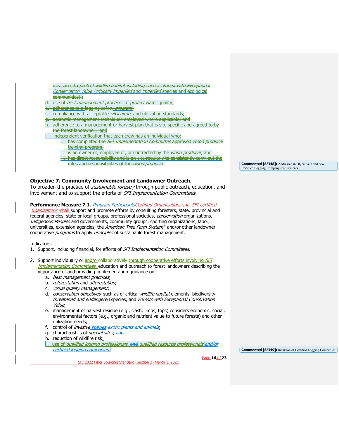- measures to protect wildlife habitat including such as Forest with Exceptional Conservation Value (critically imperiled and imperiled species and ecological communities).;
- use of *best management practices* to *protect* water quality;
- e. adherence to a logging safety *program*;
- compliance with acceptable silviculture and utilization standards;
- aesthetic management techniques employed where applicable; and
- adherence to a management or harvest plan that is site specific and agreed to by the forest landowner; .and
- independent verification that each crew has an individual who: has completed the *SFI Implementation Committee* approved *wood producer* training program,
	- ii. is an owner of, employee of, or contracted by the *wood producer*, and
	- iii. has direct responsibility and is on site regularly to consistently carry out the roles and responsibilities of the *wood producer*.

#### <span id="page-15-0"></span>**Objective 7. Community Involvement and Landowner Outreach**.

To broaden the practice of *sustainable forestry* through public outreach, education, and involvement and to support the efforts of SFI Implementation Committees.

Performance Measure 7.1. *Program ParticipantsCertified Organizations* shall SFI-certified

organizations -shall support and promote efforts by consulting foresters, state, provincial and federal agencies, state or local groups, professional societies, *conservation* organizations, Indigenous Peoples and governments, community groups, sporting organizations, labor, universities, extension agencies, the American Tree Farm System® and/or other landowner cooperative *programs* to apply *principles* of sustainable forest management.

#### Indicators:

- 1. Support, including financial, for efforts of SFI Implementation Committees.
- 2. Support individually or and/orcollaboratively through cooperative efforts involving SFI Implementation Committees, education and outreach to forest landowners describing the importance of and providing implementation guidance on:
	- a. best management practices;
	- b. *reforestation* and *afforestation*;
	- c. visual quality management;
	- d. *conservation objectives*, such as of critical *wildlife habitat* elements, biodiversity, threatened and endangered species, and Forests with Exceptional Conservation Value;
	- e. management of harvest residue (e.g., slash, limbs, tops) considers economic, social, environmental factors (e.g., organic and nutrient value to future forests) and other utilization needs;
	- f. control of *invasive species exotic plants and animals*;
	- g. characteristics of *special sites*; and
	- h. reduction of wildfire risk;
	- use of qualified logging professionals, and qualified resource professionals and/or certified logging companies;

**Commented [SFI49]:** Inclusion of Certified Logging Companies

SFI 2022 Fiber Sourcing Standard (Section 3) March 1, 2021

Page **16** of **23**

**Commented [SFI48]:** Addressed in Objective 3 and new Certified Logging Company requirements.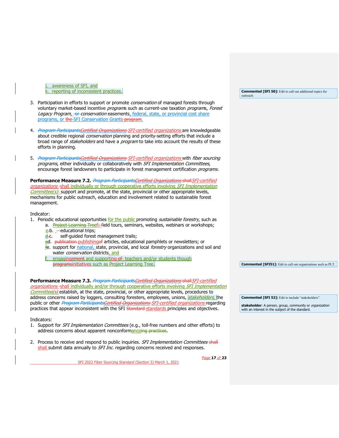awareness of SFI, and k. reporting of inconsistent practices.

- 3. Participation in efforts to support or promote *conservation* of managed forests through voluntary market-based incentive *program*s such as current-use taxation *programs, Forest* Legacy Program, -or-conservation easements, federal, state, or provincial cost share programs, or the SFI Conservation Grants program.
- 4. Program ParticipantsCertified Organizations SFI-certified organizations are knowledgeable about credible regional *conservation* planning and priority-setting efforts that include a broad range of *stakeholders* and have a *program* to take into account the results of these efforts in planning.
- 5. Program ParticipantsCertified Organizations SFI-certified organizations with fiber sourcing programs, either individually or collaboratively with SFI Implementation Committees, encourage forest landowners to participate in forest management certification *programs.*

**Performance Measure 7.2.** Program ParticipantsCertified Organizations shall SFI-certified organizations -shall individually or through cooperative efforts involving SFI Implementation Committee(s) support and promote, at the state, provincial or other appropriate levels, mechanisms for public outreach, education and involvement related to sustainable forest management.

#### Indicator:

- 1. Periodic educational opportunities for the public promoting sustainable forestry, such as
	- a. Project Learning Treef; field tours, seminars, websites, webinars or workshops;  $e$ -b.  $-e$ ducational trips;
		- d.c. self-guided forest management trails;
		- ed. publication-publishingof articles, educational pamphlets or newsletters; or
		- fe. support for national, state, provincial, and local *forestry* organizations and soil and water *conservation* districts, and
		- engagingement and supporting of teachers and/or students though programsinitiatives such as Project Learning Tree.

Performance Measure 7.3. *Program Participants Certified Organizations* shall SFI-certified organizations-shall individually and/or through cooperative efforts involving SFI Implementation Committee(s) establish, at the state, provincial, or other appropriate levels, procedures to address concerns raised by loggers, consulting foresters, employees, unions, stakeholders, the public or other Program ParticipantsCertified Organizations SFI-certified organizations regarding practices that appear inconsistent with the SFI Standard standards principles and objectives.

#### Indicators:

- 1. Support for SFI Implementation Committees (e.g., toll-free numbers and other efforts) to address concerns about apparent nonconformanceing practices.
- 2. Process to receive and respond to public inquiries. SFI Implementation Committees shall shall submit data annually to *SFI Inc.* regarding concerns received and responses.

SFI 2022 Fiber Sourcing Standard (Section 3) March 1, 2021

**Commented [SFI 50]:** Edit to call out additional topics for outreach.

**Commented [SFI51]:** Edit to call out organizations such as PLT.

**Commented [SFI 52]:** Edit to include "stakeholders".

**stakeholder**: A person, group, community or *organization*<br>with an interest in the subject of the standard.

Page **17** of **23**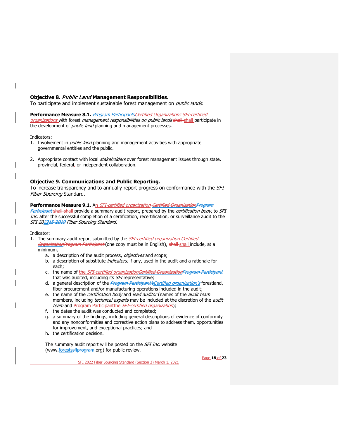## <span id="page-17-0"></span>**Objective 8.** Public Land **Management Responsibilities.**

To participate and implement sustainable forest management on *public lands*.

#### Performance Measure 8.1. Program Participants Certified Organizations SFI-certified organizations with forest management responsibilities on public lands shall-shall participate in

the development of *public land* planning and management processes.

#### Indicators:

- 1. Involvement in *public land* planning and management activities with appropriate governmental entities and the public.
- 2. Appropriate contact with local *stakeholders* over forest management issues through state, provincial, federal, or independent collaboration.

## <span id="page-17-1"></span>**Objective 9. Communications and Public Reporting.**

To increase transparency and to annually report progress on conformance with the SFI Fiber Sourcing Standard.

**Performance Measure 9.1.** An *SFI-certified organization-Certified OrganizationProgram* Participant shall-shall provide a summary audit report, prepared by the *certification body*, to *SFI* Inc. after the successful completion of a certification, recertification, or surveillance audit to the SFI 202245-2019 Fiber Sourcing Standard.

Indicator:

- 1. The summary audit report submitted by the *SFI-certified organization Certified* OrganizationProgram Participant (one copy must be in English), shall-shall include, at a minimum,
	- a. a description of the audit process, objectives and scope;
	- b. a description of substitute *indicators*, if any, used in the audit and a rationale for each;
	- c. the name of the SFI-certified organizationCertified OrganizationProgram Participant that was audited, including its SFI representative;
	- d. a general description of the *Program Participant's Certified organization's* forestland, fiber procurement and/or manufacturing operations included in the audit;
	- e. the name of the *certification body* and lead auditor (names of the audit team members, including *technical experts* may be included at the discretion of the *audit* team and Program Participantthe SFI-certified organization);
	- f. the dates the audit was conducted and completed;
	- g. a summary of the findings, including general descriptions of evidence of conformity and any nonconformities and corrective action plans to address them, opportunities for improvement, and exceptional practices; and
	- h. the certification decision.

The summary audit report will be posted on the SFI Inc. website [\(www.forestssfiprogram.org\)](http://www.forests.org/) for public review.

Page **18** of **23**

SFI 2022 Fiber Sourcing Standard (Section 3) March 1, 2021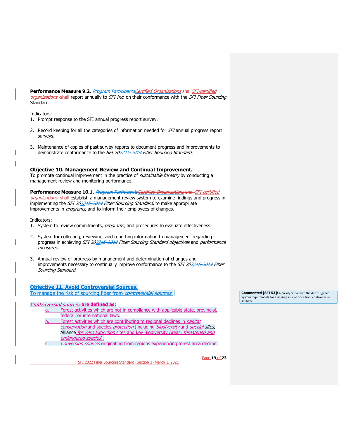**Performance Measure 9.2.** Program ParticipantsCertified Organizations shall SFI-certified organizations-shall report annually to SFI Inc. on their conformance with the SFI Fiber Sourcing Standard.

#### Indicators:

- 1. Prompt response to the SFI annual progress report survey.
- 2. Record keeping for all the categories of information needed for SFI annual progress report surveys.
- 3. Maintenance of copies of past survey reports to document progress and improvements to demonstrate conformance to the SFI 202215-2019 Fiber Sourcing Standard.

### <span id="page-18-0"></span>**Objective 10. Management Review and Continual Improvement.**

To promote continual improvement in the practice of *sustainable forestry* by conducting a management review and monitoring performance.

## Performance Measure 10.1. *Program Participants Certified Organizations shall SFI-certified*

organizations-shall establish a management review system to examine findings and progress in implementing the SFI 202245-2019 Fiber Sourcing Standard, to make appropriate improvements in *programs*, and to inform their employees of changes.

Indicators:

- 1. System to review commitments, programs, and procedures to evaluate effectiveness.
- 2. System for collecting, reviewing, and reporting information to management regarding progress in achieving SFI 202215-2019 Fiber Sourcing Standard objectives and performance measures.
- 3. Annual review of progress by management and determination of changes and improvements necessary to continually improve conformance to the SFI 202215-2019 Fiber Sourcing Standard.

## <span id="page-18-1"></span>**Objective 11. Avoid Controversial Sources.**

To manage the risk of sourcing fiber from *controversial sources*.

## Controversial sources **are defined as:**

- a. Forest activities which are not in compliance with applicable state, provincial, federal, or international laws.
- Forest activities which are contributing to regional declines in *habitat* conservation and species protection (including biodiversity and special sites, Alliance for Zero Extinction sites and key Biodiversity Areas, threatened and endangered species).
- Conversion sources originating from regions experiencing forest area decline.

SFI 2022 Fiber Sourcing Standard (Section 3) March 1, 2021

**Commented [SFI 53]:** New objective with the due diligence system requirements for assessing risk of fiber from controversial sources.

Page **19** of **23**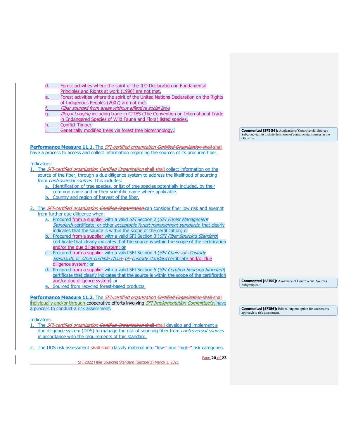- Forest activities where the spirit of the ILO Declaration on Fundamental Principles and Rights at work (1998) are not met.
- Forest activities where the spirit of the United Nations Declaration on the Rights of Indigenous Peoples (2007) are not met.
- Fiber sourced from areas without effective social laws
- Illegal Logging including trade in CITES (The Convention on International Trade
- in Endangered Species of Wild Fauna and Flora) listed species.
- Conflict Timber.
- Genetically modified trees via forest tree biotechnology.

**Commented [SFI 54]:** Avoidance of Controversial Sources Subgroup edit to include definition of controversial sources in the Objective.

Performance Measure 11.1. The SFI-certified organization Certified Organization shall shall have a process to access and collect information regarding the sources of its procured fiber.

#### Indicators:

- 1. The SFI-certified organization Certified Organization shall-shall collect information on the source of the fiber, through a due diligence system to address the likelihood of sourcing from *controversial sources*. This includes:
	- a. Identification of tree species, or list of tree species potentially included, by their common name and or their scientific name where applicable.
	- Country and region of harvest of the fiber.
- 2. The SFI-certified organization Certified Organization can consider fiber low risk and exempt from further due diligence when:
	- a. Procured from a supplier with a valid SFI Section 2 (SFI Forest Management Standard) certificate, or other acceptable forest management standards, that clearly indicates that the source is within the scope of the certification; or
	- b. Procured from a supplier with a valid SFI Section 3 (SFI Fiber Sourcing Standard) certificate that clearly indicates that the source is within the scope of the certification and/or the due diligence system; or
	- c. Procured from a supplier with a valid SFI Section 4 (SFI Chain-of-Custody Standard), or other credible chain-of-custody standard certificate and/or due diligence system; or
	- d. Procured from a supplier with a valid SFI Section 5 (SFI Certified Sourcing Standard) certificate that clearly indicates that the source is within the scope of the certification and/or due diligence system; or
	- Sourced from recycled forest-based products.

Performance Measure 11.2. The SFI-certified organization Certified Organization shall shall individually and/or through cooperative efforts involving *SFI Implementation Committee(s)* have a process to conduct a risk assessment.

Indicators:

1. The SFI-certified organization Certified Organization shall-shall develop and implement a due diligence system (DDS) to manage the risk of sourcing fiber from controversial sources in accordance with the requirements of this standard.

2. The DDS risk assessment shall-shall classify material into "low-" and "high-" risk categories.

SFI 2022 Fiber Sourcing Standard (Section 3) March 1, 2021

Page **20** of **23**

**Commented [SFI55]:** Avoidance of Controversial Sources Subgroup edit.

**Commented [SFI56]:** Edit calling out option for cooperative approach to risk assessment.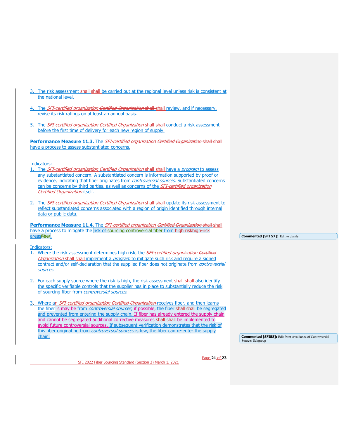- 3. The risk assessment shall-shall be carried out at the regional level unless risk is consistent at the national level.
- 4. The SFI-certified organization Certified Organization shall-shall review, and if necessary, revise its risk ratings on at least an annual basis.
- 5. The SFI-certified organization Certified Organization shall-shall conduct a risk assessment before the first time of delivery for each new region of supply.

**Performance Measure 11.3.** The *SFI-certified organization <del>Certified Organization shall</del> shall* have a process to assess substantiated concerns.

Indicators:

- The SFI-certified organization Certified Organization shall-shall have a program to assess any substantiated concern. A substantiated concern is information supported by proof or evidence, indicating that fiber originates from *controversial sources*. Substantiated concerns can be concerns by third parties, as well as concerns of the *SFI-certified organization* Certified Organization-itself.
- 2. The SFI-certified organization Certified Organization shall-shall update its risk assessment to reflect substantiated concerns associated with a region of origin identified through internal data or public data.

Performance Measure 11.4. The SFI-certified organization Certified Organization shall shall have a process to mitigate the risk of sourcing controversial fiber from high riskhigh-risk areasfiber.

Indicators:

- 1. Where the risk assessment determines high risk, the SFI-certified organization Certified Organization shall-shall implement a *program* to mitigate such risk and require a signed contract and/or self-declaration that the supplied fiber does not originate from *controversial* sources.
- 2. For each supply source where the risk is high, the risk assessment shall-shall also identify the specific verifiable controls that the supplier has in place to substantially reduce the risk of sourcing fiber from controversial sources.
- 3. Where an *SFI-certified organization Certified Organization* receives fiber, and then learns the fiber is may be from *controversial sources*, if possible, the fiber shall shall be segregated and prevented from entering the supply chain. If fiber has already entered the supply chain and cannot be segregated additional corrective measures shall shall be implemented to avoid future controversial sources. If subsequent verification demonstrates that the risk of this fiber originating from *controversial sources* is low, the fiber can re-enter the supply chain.

**Commented [SFI 57]:** Edit to clarify.

**Commented [SFI58]:** Edit from Avoidance of Controversial Sources Subgroup

SFI 2022 Fiber Sourcing Standard (Section 3) March 1, 2021

Page **21** of **23**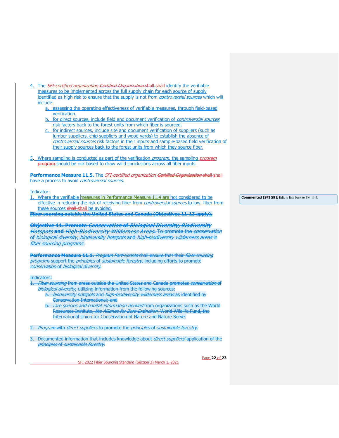- 4. The SFI-certified organization Certified Organization shall-shall identify the verifiable measures to be implemented across the full supply chain for each source of supply identified as high risk to ensure that the supply is not from *controversial sources* which will include:
	- a. assessing the operating effectiveness of verifiable measures, through field-based verification.
	- b. for direct sources, include field and document verification of *controversial sources* risk factors back to the forest units from which fiber is sourced.
	- for indirect sources, include site and document verification of suppliers (such as lumber suppliers, chip suppliers and wood yards) to establish the absence of controversial sources risk factors in their inputs and sample-based field verification of their supply sources back to the forest units from which they source fiber.
- 5. Where sampling is conducted as part of the verification *program*, the sampling *program* program should be risk based to draw valid conclusions across all fiber inputs.

**Performance Measure 11.5.** The *SFI-certified organization <del>Certified Organization shall</del>-shall* have a process to avoid *controversial sources*.

#### Indicator:

1. Where the verifiable measures in Performance Measure 11.4 are not considered to be effective in reducing the risk of receiving fiber from *controversial sources* to low, fiber from these sources shall-shall be avoided.

**Fiber sourcing outside the United States and Canada (Objectives 11-13 apply).**

**Objective 11. Promote** Conservation **of** Biological Diversity, Biodiversity Hotspots **and** High-Biodiversity Wilderness Areas**.** To promote the conservation of biological diversity, biodiversity hotspots and high-biodiversity wilderness areas in fiber sourcing programs.

**Performance Measure 11.1.** Program Participants shall ensure that their fiber sourcing programs support the *principles* of *sustainable forestry*, including efforts to promote conservation of biological diversity.

#### Indicators:

- Fiber sourcing from areas outside the United States and Canada promotes conservation of biological diversity, utilizing information from the following sources:
	- a. *biodiversity hotspots* and *high biodiversity wilderness areas* as identified by Conservation International; and
	- *tare species and habitat information derived* from organizations such as the World Resources Institute, the Alliance for Zero Extinction, World Wildlife Fund, the International Union for Conservation of Nature and Nature Serve.

2. Program with direct suppliers to promote the principles of sustainable forestry.

3. Documented information that includes knowledge about *direct suppliers'* application of the principles of sustainable forestry.

SFI 2022 Fiber Sourcing Standard (Section 3) March 1, 2021

Page **22** of **23**

**Commented [SFI 59]:** Edit to link back to PM 11.4.